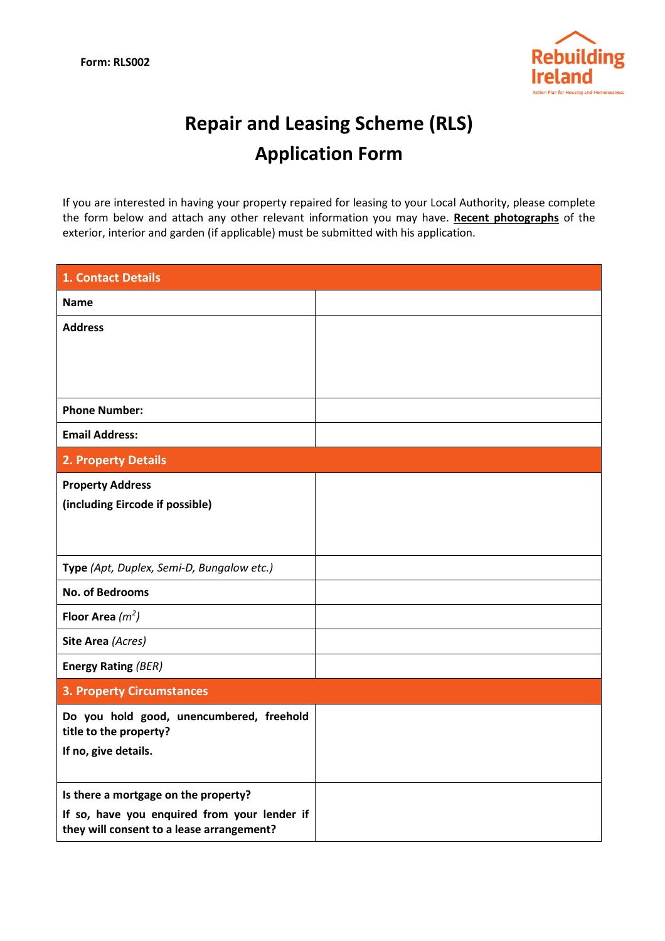

## Repair and Leasing Scheme (RLS) Application Form

If you are interested in having your property repaired for leasing to your Local Authority, please complete the form below and attach any other relevant information you may have. Recent photographs of the exterior, interior and garden (if applicable) must be submitted with his application.

| 1. Contact Details                                                                        |  |
|-------------------------------------------------------------------------------------------|--|
| <b>Name</b>                                                                               |  |
| <b>Address</b>                                                                            |  |
|                                                                                           |  |
|                                                                                           |  |
| <b>Phone Number:</b>                                                                      |  |
| <b>Email Address:</b>                                                                     |  |
| 2. Property Details                                                                       |  |
| <b>Property Address</b>                                                                   |  |
| (including Eircode if possible)                                                           |  |
|                                                                                           |  |
| Type (Apt, Duplex, Semi-D, Bungalow etc.)                                                 |  |
| <b>No. of Bedrooms</b>                                                                    |  |
| Floor Area $(m^2)$                                                                        |  |
| Site Area (Acres)                                                                         |  |
| <b>Energy Rating (BER)</b>                                                                |  |
| <b>3. Property Circumstances</b>                                                          |  |
| Do you hold good, unencumbered, freehold<br>title to the property?                        |  |
| If no, give details.                                                                      |  |
|                                                                                           |  |
| Is there a mortgage on the property?                                                      |  |
| If so, have you enquired from your lender if<br>they will consent to a lease arrangement? |  |